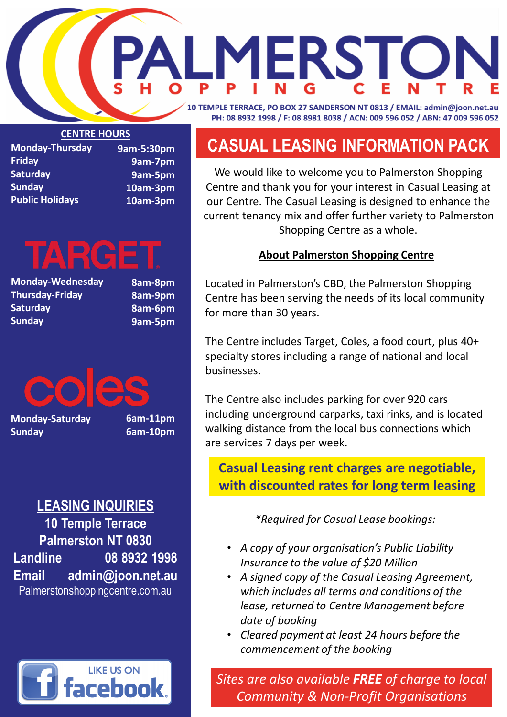# **CASUAL LEASING INFORMATION PACK**

We would like to welcome you to Palmerston Shopping Centre and thank you for your interest in Casual Leasing at our Centre. The Casual Leasing is designed to enhance the current tenancy mix and offer further variety to Palmerston Shopping Centre as a whole.

### **About Palmerston Shopping Centre**

Located in Palmerston's CBD, the Palmerston Shopping Centre has been serving the needs of its local community for more than 30 years.

The Centre includes Target, Coles, a food court, plus 40+ specialty stores including a range of national and local businesses.

The Centre also includes parking for over 920 cars including underground carparks, taxi rinks, and is located walking distance from the local bus connections which are services 7 days per week.

*\*Required for Casual Lease bookings:*



- *A copy of your organisation's Public Liability Insurance to the value of \$20 Million*
- *A signed copy of the Casual Leasing Agreement, which includes all terms and conditions of the lease, returned to Centre Management before date of booking*
- *Cleared payment at least 24 hours before the commencement of the booking*

*Sites are also available FREE of charge to local Community & Non-Profit Organisations*

## **Casual Leasing rent charges are negotiable, with discounted rates for long term leasing**

**Monday-Thursday Friday Saturday Sunday Public Holidays 9am-5:30pm**

**9am-7pm 9am-5pm 10am-3pm 10am-3pm**

# TARGE<sup>.</sup>

**Monday-Wednesday Thursday-Friday Saturday Sunday**

**8am-8pm 8am-9pm 8am-6pm 9am-5pm**

**Monday-Saturday Sunday**

**6am-11pm 6am-10pm**

## **LEASING INQUIRIES**

**10 Temple Terrace Palmerston NT 0830 Landline 08 8932 1998 Email admin@joon.net.au** Palmerstonshoppingcentre.com.au

# **IERSTO** 10 TEMPLE TERRACE, PO BOX 27 SANDERSON NT 0813 / EMAIL: admin@joon.net.au PH: 08 8932 1998 / F: 08 8981 8038 / ACN: 009 596 052 / ABN: 47 009 596 052

**CENTRE HOURS**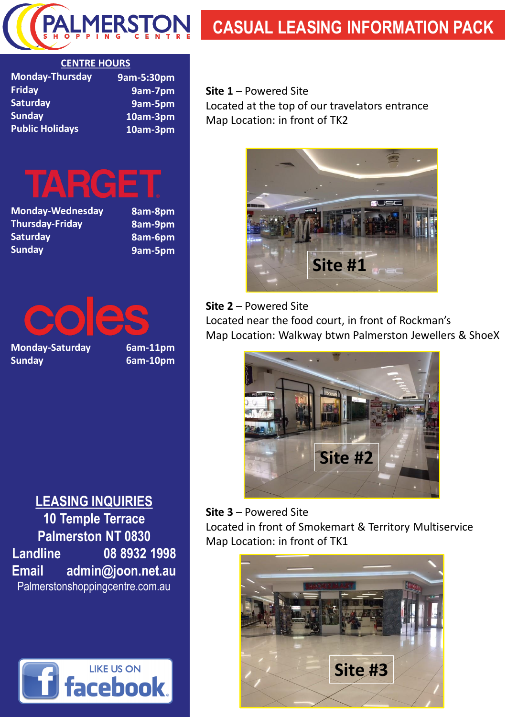**Site 1** – Powered Site Located at the top of our travelators entrance Map Location: in front of TK2

#### **Site 2** – Powered Site

Located near the food court, in front of Rockman's Map Location: Walkway btwn Palmerston Jewellers & ShoeX

## TARGET **Monday-Wednesday Thursday-Friday Saturday**

### **Site 3** – Powered Site Located in front of Smokemart & Territory Multiservice Map Location: in front of TK1

Ies **Monday-Saturday**









# **CASUAL LEASING INFORMATION PACK**

| <b>Monday-Thursday</b> | 9am-5:30pm |
|------------------------|------------|
| <b>Friday</b>          | 9am-7pm    |
| <b>Saturday</b>        | 9am-5pm    |
| <b>Sunday</b>          | 10am-3pm   |
| <b>Public Holidays</b> | 10am-3pm   |

**Sunday**

**8am-8pm 8am-9pm 8am-6pm 9am-5pm**

**Sunday**

**6am-11pm 6am-10pm**

## **LEASING INQUIRIES**

**10 Temple Terrace Palmerston NT 0830**





#### **CENTRE HOURS**